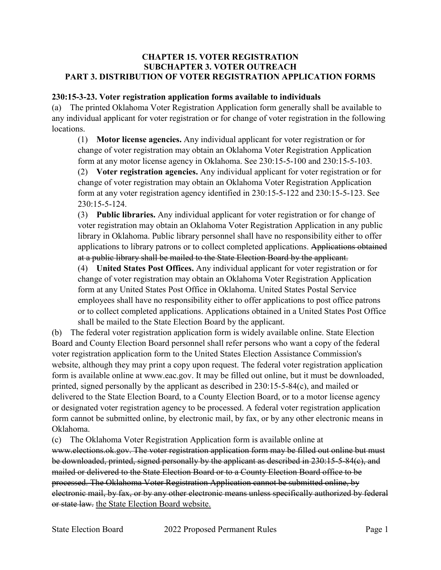## **CHAPTER 15. VOTER REGISTRATION SUBCHAPTER 3. VOTER OUTREACH PART 3. DISTRIBUTION OF VOTER REGISTRATION APPLICATION FORMS**

## **230:15-3-23. Voter registration application forms available to individuals**

(a) The printed Oklahoma Voter Registration Application form generally shall be available to any individual applicant for voter registration or for change of voter registration in the following locations.

(1) **Motor license agencies.** Any individual applicant for voter registration or for change of voter registration may obtain an Oklahoma Voter Registration Application form at any motor license agency in Oklahoma. See 230:15-5-100 and 230:15-5-103.

(2) **Voter registration agencies.** Any individual applicant for voter registration or for change of voter registration may obtain an Oklahoma Voter Registration Application form at any voter registration agency identified in 230:15-5-122 and 230:15-5-123. See 230:15-5-124.

(3) **Public libraries.** Any individual applicant for voter registration or for change of voter registration may obtain an Oklahoma Voter Registration Application in any public library in Oklahoma. Public library personnel shall have no responsibility either to offer applications to library patrons or to collect completed applications. Applications obtained at a public library shall be mailed to the State Election Board by the applicant.

(4) **United States Post Offices.** Any individual applicant for voter registration or for change of voter registration may obtain an Oklahoma Voter Registration Application form at any United States Post Office in Oklahoma. United States Postal Service employees shall have no responsibility either to offer applications to post office patrons or to collect completed applications. Applications obtained in a United States Post Office shall be mailed to the State Election Board by the applicant.

(b) The federal voter registration application form is widely available online. State Election Board and County Election Board personnel shall refer persons who want a copy of the federal voter registration application form to the United States Election Assistance Commission's website, although they may print a copy upon request. The federal voter registration application form is available online at www.eac.gov. It may be filled out online, but it must be downloaded, printed, signed personally by the applicant as described in 230:15-5-84(c), and mailed or delivered to the State Election Board, to a County Election Board, or to a motor license agency or designated voter registration agency to be processed. A federal voter registration application form cannot be submitted online, by electronic mail, by fax, or by any other electronic means in Oklahoma.

(c) The Oklahoma Voter Registration Application form is available online at

www.elections.ok.gov. The voter registration application form may be filled out online but must be downloaded, printed, signed personally by the applicant as described in 230:15-5-84(c), and mailed or delivered to the State Election Board or to a County Election Board office to be processed. The Oklahoma Voter Registration Application cannot be submitted online, by electronic mail, by fax, or by any other electronic means unless specifically authorized by federal or state law. the State Election Board website.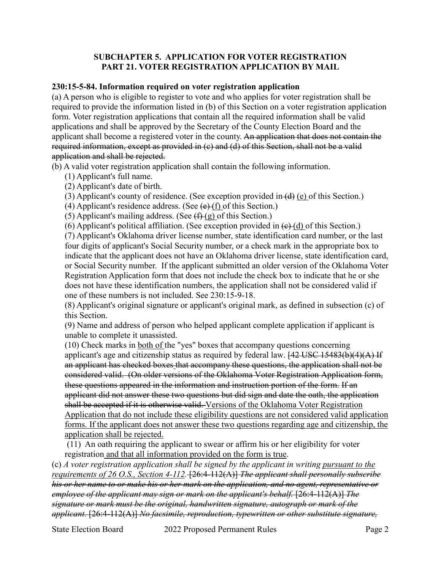## **SUBCHAPTER 5. APPLICATION FOR VOTER REGISTRATION PART 21. VOTER REGISTRATION APPLICATION BY MAIL**

## **230:15-5-84. Information required on voter registration application**

(a) A person who is eligible to register to vote and who applies for voter registration shall be required to provide the information listed in (b) of this Section on a voter registration application form. Voter registration applications that contain all the required information shall be valid applications and shall be approved by the Secretary of the County Election Board and the applicant shall become a registered voter in the county. An application that does not contain the required information, except as provided in (c) and (d) of this Section, shall not be a valid application and shall be rejected.

(b) A valid voter registration application shall contain the following information.

(1) Applicant's full name.

(2) Applicant's date of birth.

(3) Applicant's county of residence. (See exception provided in  $(d)$  (e) of this Section.)

(4) Applicant's residence address. (See  $\left(\frac{e}{f}\right)$  of this Section.)

(5) Applicant's mailing address. (See  $(f+(g))$  of this Section.)

(6) Applicant's political affiliation. (See exception provided in  $(e)$  (d) of this Section.)

(7) Applicant's Oklahoma driver license number, state identification card number, or the last four digits of applicant's Social Security number, or a check mark in the appropriate box to indicate that the applicant does not have an Oklahoma driver license, state identification card, or Social Security number. If the applicant submitted an older version of the Oklahoma Voter Registration Application form that does not include the check box to indicate that he or she does not have these identification numbers, the application shall not be considered valid if one of these numbers is not included. See 230:15-9-18.

(8) Applicant's original signature or applicant's original mark, as defined in subsection (c) of this Section.

(9) Name and address of person who helped applicant complete application if applicant is unable to complete it unassisted.

(10) Check marks in both of the "yes" boxes that accompany questions concerning applicant's age and citizenship status as required by federal law.  $[42$  USC 15483(b)(4)(A) If an applicant has checked boxes that accompany these questions, the application shall not be considered valid. (On older versions of the Oklahoma Voter Registration Application form, these questions appeared in the information and instruction portion of the form. If an applicant did not answer these two questions but did sign and date the oath, the application shall be accepted if it is otherwise valid. Versions of the Oklahoma Voter Registration Application that do not include these eligibility questions are not considered valid application forms. If the applicant does not answer these two questions regarding age and citizenship, the application shall be rejected.

(11) An oath requiring the applicant to swear or affirm his or her eligibility for voter registration and that all information provided on the form is true.

(c) *A voter registration application shall be signed by the applicant in writing pursuant to the requirements of 26 O.S., Section 4-112.* [26:4-112(A)] *The applicant shall personally subscribe his or her name to or make his or her mark on the application, and no agent, representative or employee of the applicant may sign or mark on the applicant's behalf.* [26:4-112(A)] *The signature or mark must be the original, handwritten signature, autograph or mark of the applicant.* [26:4-112(A)] *No facsimile, reproduction, typewritten or other substitute signature,*